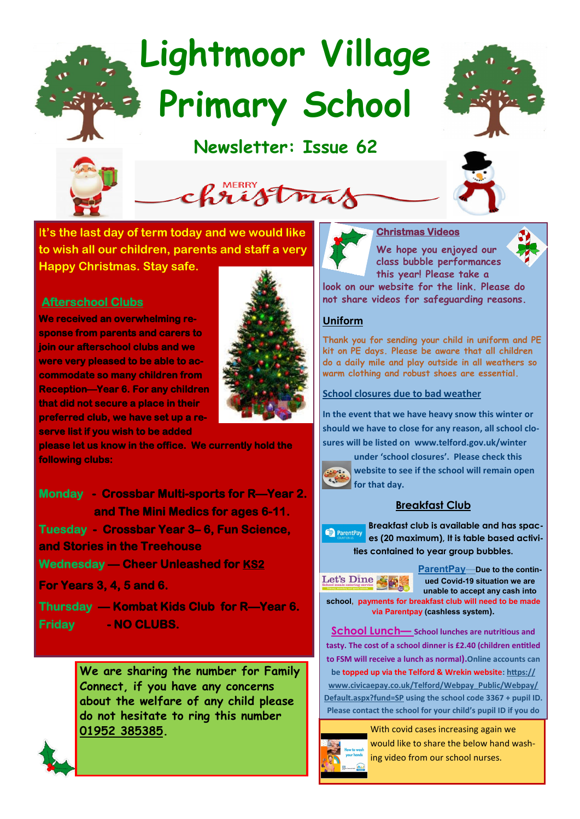# **Lightmoor Village Primary School**

## **Newsletter: Issue 62**





I**t's the last day of term today and we would like to wish all our children, parents and staff a very Happy Christmas. Stay safe.**

### **Afterschool Clubs**

**We received an overwhelming response from parents and carers to join our afterschool clubs and we were very pleased to be able to accommodate so many children from Reception—Year 6. For any children that did not secure a place in their preferred club, we have set up a reserve list if you wish to be added** 



**please let us know in the office. We currently hold the following clubs:** 

**Monday - Crossbar Multi-sports for R—Year 2. and The Mini Medics for ages 6-11. Tuesday - Crossbar Year 3– 6, Fun Science, and Stories in the Treehouse Wednesday — Cheer Unleashed for KS2 For Years 3, 4, 5 and 6.** 

**Thursday — Kombat Kids Club for R—Year 6. Friday - NO CLUBS.** 

> **We are sharing the number for Family Connect, if you have any concerns about the welfare of any child please do not hesitate to ring this number 01952 385385.**





**We hope you enjoyed our class bubble performances this year! Please take a** 

**look on our website for the link. Please do not share videos for safeguarding reasons.**

#### **Uniform**

**Thank you for sending your child in uniform and PE kit on PE days. Please be aware that all children do a daily mile and play outside in all weathers so warm clothing and robust shoes are essential.**

#### **School closures due to bad weather**

**In the event that we have heavy snow this winter or should we have to close for any reason, all school closures will be listed on www.telford.gov.uk/winter** 

**under 'school closures'. Please check this**   $\epsilon_{\rm s}$ 

Let's Dine

**website to see if the school will remain open for that day.** 

#### **Breakfast Club**

**Breakfast club is available and has spac-**ParentPay **es (20 maximum), It is table based activities contained to year group bubbles.**

> **ParentPay—Due to the continued Covid-19 situation we are unable to accept any cash into**

**school, payments for breakfast club will need to be made via Parentpay (cashless system).**

**School Lunch— School lunches are nutritious and tasty. The cost of a school dinner is £2.40 (children entitled to FSM will receive a lunch as normal).Online accounts can be topped up via the Telford & Wrekin website: [https://](https://www.civicaepay.co.uk/Telford/Webpay_Public/Webpay/Default.aspx?fund=SP) [www.civicaepay.co.uk/Telford/Webpay\\_Public/Webpay/](https://www.civicaepay.co.uk/Telford/Webpay_Public/Webpay/Default.aspx?fund=SP) [Default.aspx?fund=SP](https://www.civicaepay.co.uk/Telford/Webpay_Public/Webpay/Default.aspx?fund=SP) using the school code 3367 + pupil ID. Please contact the school for your child's pupil ID if you do** 



With covid cases increasing again we would like to share the below hand washing video from our school nurses.